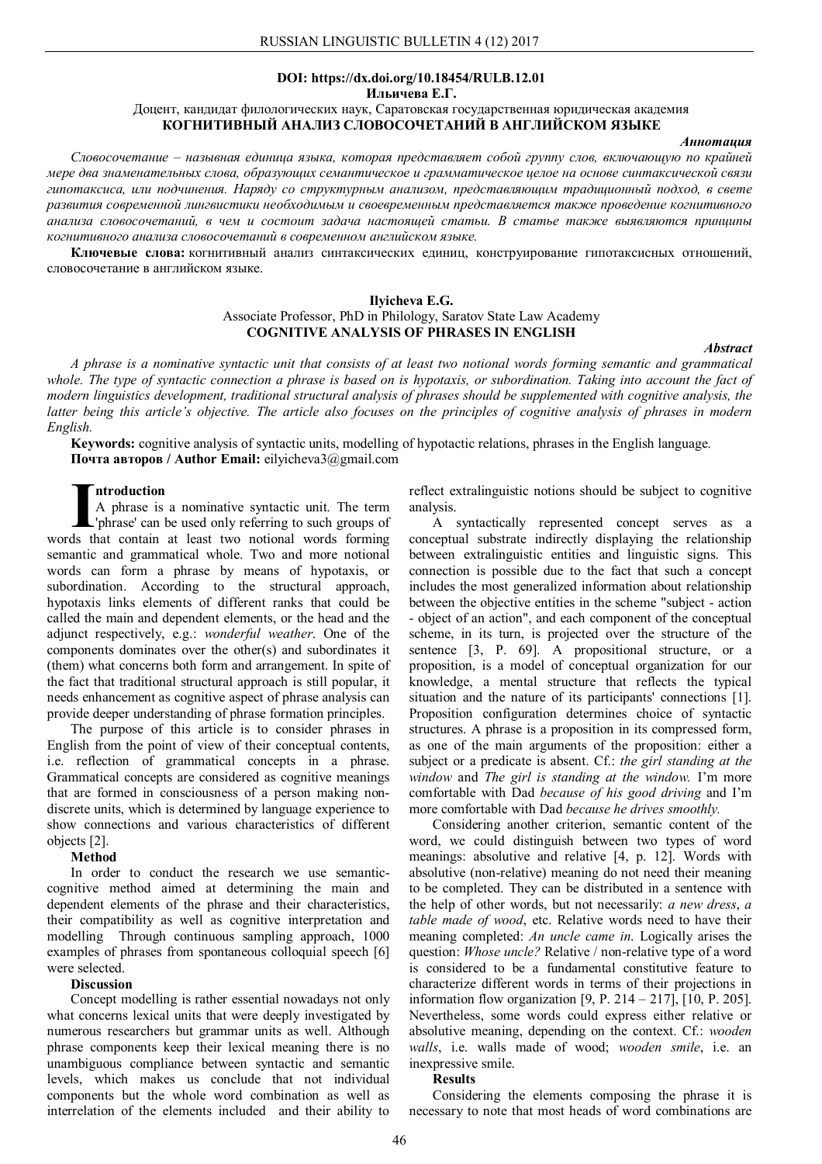# **DOI: https://dx.doi.org/10.18454/RULB.12.01**

**Ильичева Е.Г.**

Доцент, кандидат филологических наук, Саратовская государственная юридическая академия **КОГНИТИВНЫЙ АНАЛИЗ СЛОВОСОЧЕТАНИЙ В АНГЛИЙСКОМ ЯЗЫКЕ**

## *Аннотация*

*Словосочетание – назывная единица языка, которая представляет собой группу слов, включающую по крайней мере два знаменательных слова, образующих семантическое и грамматическое целое на основе синтаксической связи гипотаксиса, или подчинения. Наряду со структурным анализом, представляющим традиционный подход, в свете развития современной лингвистики необходимым и своевременным представляется также проведение когнитивного анализа словосочетаний, в чем и состоит задача настоящей статьи. В статье также выявляются принципы когнитивного анализа словосочетаний в современном английском языке.*

**Ключевые слова:** когнитивный анализ синтаксических единиц, конструирование гипотаксисных отношений, словосочетание в английском языке.

# **Ilyicheva E.G.**

Associate Professor, PhD in Philology, Saratov State Law Academy **COGNITIVE ANALYSIS OF PHRASES IN ENGLISH**

*Abstract*

*A phrase is a nominative syntactic unit that consists of at least two notional words forming semantic and grammatical whole. The type of syntactic connection a phrase is based on is hypotaxis, or subordination. Taking into account the fact of modern linguistics development, traditional structural analysis of phrases should be supplemented with cognitive analysis, the latter being this article's objective. The article also focuses on the principles of cognitive analysis of phrases in modern English.*

**Keywords:** cognitive analysis of syntactic units, modelling of hypotactic relations, phrases in the English language. **Почта авторов / Author Email:** eilyicheva3@gmail.com

# **ntroduction**

A phrase is a nominative syntactic unit. The term 'phrase' can be used only referring to such groups of **I A** phrase is a nominative syntactic unit. The term  $\Delta$  phrase' can be used only referring to such groups of words that contain at least two notional words forming semantic and grammatical whole. Two and more notional words can form a phrase by means of hypotaxis, or subordination. According to the structural approach, hypotaxis links elements of different ranks that could be called the main and dependent elements, or the head and the adjunct respectively, e.g.: *wonderful weather*. One of the components dominates over the other(s) and subordinates it (them) what concerns both form and arrangement. In spite of the fact that traditional structural approach is still popular, it needs enhancement as cognitive aspect of phrase analysis can provide deeper understanding of phrase formation principles.

The purpose of this article is to consider phrases in English from the point of view of their conceptual contents, i.e. reflection of grammatical concepts in a phrase. Grammatical concepts are considered as cognitive meanings that are formed in consciousness of a person making nondiscrete units, which is determined by language experience to show connections and various characteristics of different objects [2].

## **Method**

In order to conduct the research we use semanticcognitive method aimed at determining the main and dependent elements of the phrase and their characteristics, their compatibility as well as cognitive interpretation and modelling Through continuous sampling approach, 1000 examples of phrases from spontaneous colloquial speech [6] were selected.

#### **Discussion**

Concept modelling is rather essential nowadays not only what concerns lexical units that were deeply investigated by numerous researchers but grammar units as well. Although phrase components keep their lexical meaning there is no unambiguous compliance between syntactic and semantic levels, which makes us conclude that not individual components but the whole word combination as well as interrelation of the elements included and their ability to

reflect extralinguistic notions should be subject to cognitive analysis.

A syntactically represented concept serves as a conceptual substrate indirectly displaying the relationship between extralinguistic entities and linguistic signs. This connection is possible due to the fact that such a concept includes the most generalized information about relationship between the objective entities in the scheme "subject - action - object of an action", and each component of the conceptual scheme, in its turn, is projected over the structure of the sentence [3, P. 69]. A propositional structure, or a proposition, is a model of conceptual organization for our knowledge, a mental structure that reflects the typical situation and the nature of its participants' connections [1]. Proposition configuration determines choice of syntactic structures. A phrase is a proposition in its compressed form, as one of the main arguments of the proposition: either a subject or a predicate is absent. Cf.: *the girl standing at the window* and *The girl is standing at the window.* I'm more comfortable with Dad *because of his good driving* and I'm more comfortable with Dad *because he drives smoothly.* 

Considering another criterion, semantic content of the word, we could distinguish between two types of word meanings: absolutive and relative [4, p. 12]. Words with absolutive (non-relative) meaning do not need their meaning to be completed. They can be distributed in a sentence with the help of other words, but not necessarily: *a new dress*, *a table made of wood*, etc. Relative words need to have their meaning completed: *An uncle came in*. Logically arises the question: *Whose uncle?* Relative / non-relative type of a word is considered to be a fundamental constitutive feature to characterize different words in terms of their projections in information flow organization [9, P. 214 – 217], [10, P. 205]. Nevertheless, some words could express either relative or absolutive meaning, depending on the context. Cf.: *wooden walls*, i.e. walls made of wood; *wooden smile*, i.e. an inexpressive smile.

## **Results**

Considering the elements composing the phrase it is necessary to note that most heads of word combinations are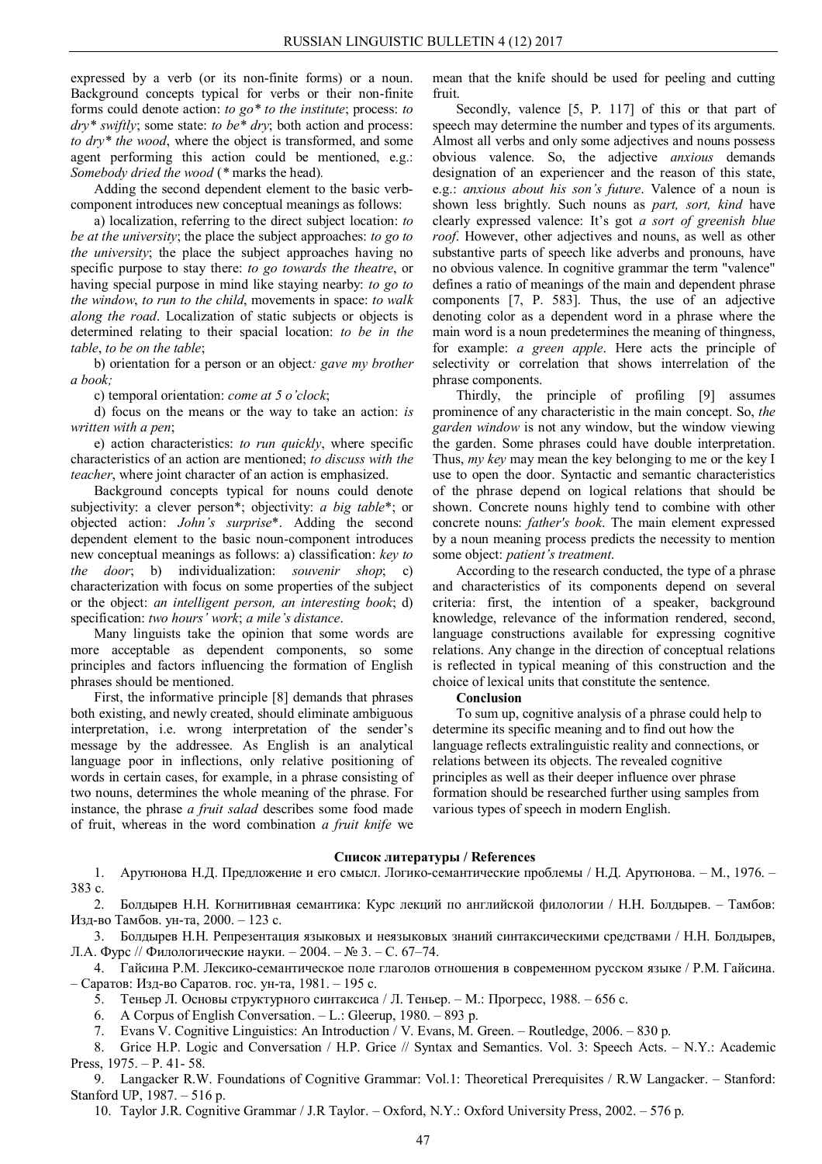expressed by a verb (or its non-finite forms) or a noun. Background concepts typical for verbs or their non-finite forms could denote action: *to go\* to the institute*; process: *to dry\* swiftly*; some state: *to be\* dry*; both action and process: *to dry\* the wood*, where the object is transformed, and some agent performing this action could be mentioned, e.g.: *Somebody dried the wood* (*\** marks the head)*.*

Adding the second dependent element to the basic verbcomponent introduces new conceptual meanings as follows:

a) localization, referring to the direct subject location: *to be at the university*; the place the subject approaches: *to go to the university*; the place the subject approaches having no specific purpose to stay there: *to go towards the theatre*, or having special purpose in mind like staying nearby: *to go to the window*, *to run to the child*, movements in space: *to walk along the road*. Localization of static subjects or objects is determined relating to their spacial location: *to be in the table*, *to be on the table*;

b) orientation for a person or an object*: gave my brother a book;* 

c) temporal orientation: *come at 5 o'clock*;

d) focus on the means or the way to take an action: *is written with a pen*;

e) action characteristics: *to run quickly*, where specific characteristics of an action are mentioned; *to discuss with the teacher*, where joint character of an action is emphasized.

Background concepts typical for nouns could denote subjectivity: a clever person\*; objectivity: *a big table*\*; or objected action: *John's surprise*\*. Adding the second dependent element to the basic noun-component introduces new conceptual meanings as follows: a) classification: *key to the door*; b) individualization: *souvenir shop*; c) characterization with focus on some properties of the subject or the object: *an intelligent person, an interesting book*; d) specification: *two hours' work*; *a mile's distance*.

Many linguists take the opinion that some words are more acceptable as dependent components, so some principles and factors influencing the formation of English phrases should be mentioned.

First, the informative principle [8] demands that phrases both existing, and newly created, should eliminate ambiguous interpretation, i.e. wrong interpretation of the sender's message by the addressee. As English is an analytical language poor in inflections, only relative positioning of words in certain cases, for example, in a phrase consisting of two nouns, determines the whole meaning of the phrase. For instance, the phrase *a fruit salad* describes some food made of fruit, whereas in the word combination *a fruit knife* we

mean that the knife should be used for peeling and cutting fruit.

Secondly, valence [5, P. 117] of this or that part of speech may determine the number and types of its arguments. Almost all verbs and only some adjectives and nouns possess obvious valence. So, the adjective *anxious* demands designation of an experiencer and the reason of this state, e.g.: *anxious about his son's future*. Valence of a noun is shown less brightly. Such nouns as *part, sort, kind* have clearly expressed valence: It's got *a sort of greenish blue roof*. However, other adjectives and nouns, as well as other substantive parts of speech like adverbs and pronouns, have no obvious valence. In cognitive grammar the term "valence" defines a ratio of meanings of the main and dependent phrase components [7, P. 583]. Thus, the use of an adjective denoting color as a dependent word in a phrase where the main word is a noun predetermines the meaning of thingness, for example: *a green apple*. Here acts the principle of selectivity or correlation that shows interrelation of the phrase components.

Thirdly, the principle of profiling [9] assumes prominence of any characteristic in the main concept. So, *the garden window* is not any window, but the window viewing the garden. Some phrases could have double interpretation. Thus, *my key* may mean the key belonging to me or the key I use to open the door. Syntactic and semantic characteristics of the phrase depend on logical relations that should be shown. Concrete nouns highly tend to combine with other concrete nouns: *father's book*. The main element expressed by a noun meaning process predicts the necessity to mention some object: *patient's treatment*.

According to the research conducted, the type of a phrase and characteristics of its components depend on several criteria: first, the intention of a speaker, background knowledge, relevance of the information rendered, second, language constructions available for expressing cognitive relations. Any change in the direction of conceptual relations is reflected in typical meaning of this construction and the choice of lexical units that constitute the sentence.

### **Conclusion**

To sum up, cognitive analysis of a phrase could help to determine its specific meaning and to find out how the language reflects extralinguistic reality and connections, or relations between its objects. The revealed cognitive principles as well as their deeper influence over phrase formation should be researched further using samples from various types of speech in modern English.

## **Список литературы / References**

1. Арутюнова Н.Д. Предложение и его смысл. Логико-семантические проблемы / Н.Д. Арутюнова. – М., 1976. – 383 с.

2. Болдырев Н.Н. Когнитивная семантика: Курс лекций по английской филологии / Н.Н. Болдырев. – Тамбов: Изд-во Тамбов. ун-та, 2000. – 123 c.

3. Болдырев Н.Н. Репрезентация языковых и неязыковых знаний синтаксическими средствами / Н.Н. Болдырев, Л.А. Фурс // Филологические науки. – 2004. – № 3. – С. 67–74.

4. Гайсина Р.М. Лексико-семантическое поле глаголов отношения в современном русском языке / Р.М. Гайсина. – Саратов: Изд-во Саратов. гос. ун-та, 1981. – 195 с.

5. Теньер Л. Основы структурного синтаксиса / Л. Теньер. – М.: Прогресс, 1988. – 656 с.

6. A Corpus of English Conversation. – L.: Gleerup, 1980. – 893 p.

7. Evans V. Cognitive Linguistics: An Introduction / V. Evans, M. Green. – Routledge, 2006. – 830 p.

8. Grice H.P. Logic and Conversation / H.P. Grice // Syntax and Semantics. Vol. 3: Speech Acts. – N.Y.: Academic Press, 1975. – P. 41- 58.

9. Langacker R.W. Foundations of Cognitive Grammar: Vol.1: Theoretical Prerequisites / R.W Langacker. – Stanford: Stanford UP, 1987. – 516 p.

10. Taylor J.R. Cognitive Grammar / J.R Taylor. – Oxford, N.Y.: Oxford University Press, 2002. – 576 p.